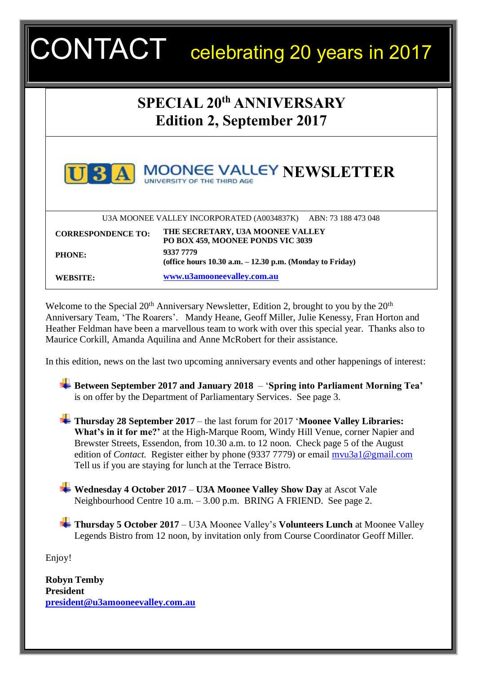| <b>SPECIAL 20th ANNIVERSARY</b><br><b>Edition 2, September 2017</b> |                                                                                                               |  |
|---------------------------------------------------------------------|---------------------------------------------------------------------------------------------------------------|--|
|                                                                     |                                                                                                               |  |
|                                                                     | <b>UNIVERSITY OF THE THIRD AGE</b>                                                                            |  |
|                                                                     | U3A MOONEE VALLEY INCORPORATED (A0034837K) ABN: 73 188 473 048                                                |  |
| <b>CORRESPONDENCE TO:</b>                                           | THE SECRETARY, U3A MOONEE VALLEY                                                                              |  |
| <b>PHONE:</b>                                                       | PO BOX 459, MOONEE PONDS VIC 3039<br>9337 7779<br>(office hours $10.30$ a.m. $-12.30$ p.m. (Monday to Friday) |  |

In this edition, news on the last two upcoming anniversary events and other happenings of interest:

Maurice Corkill, Amanda Aquilina and Anne McRobert for their assistance.

**Between September 2017 and January 2018** – '**Spring into Parliament Morning Tea'** is on offer by the Department of Parliamentary Services. See page 3.

**Thursday 28 September 2017** – the last forum for 2017 '**Moonee Valley Libraries: What's in it for me?'** at the High-Marque Room, Windy Hill Venue, corner Napier and Brewster Streets, Essendon, from 10.30 a.m. to 12 noon. Check page 5 of the August edition of *Contact*. Register either by phone (9337 7779) or email myu3a1@gmail.com Tell us if you are staying for lunch at the Terrace Bistro.

**Wednesday 4 October 2017** – **U3A Moonee Valley Show Day** at Ascot Vale Neighbourhood Centre 10 a.m. – 3.00 p.m. BRING A FRIEND. See page 2.

**Thursday 5 October 2017** – U3A Moonee Valley's **Volunteers Lunch** at Moonee Valley Legends Bistro from 12 noon, by invitation only from Course Coordinator Geoff Miller.

Enjoy!

**Robyn Temby President [president@u3amooneevalley.com.au](mailto:president@u3amooneevalley.com.au)**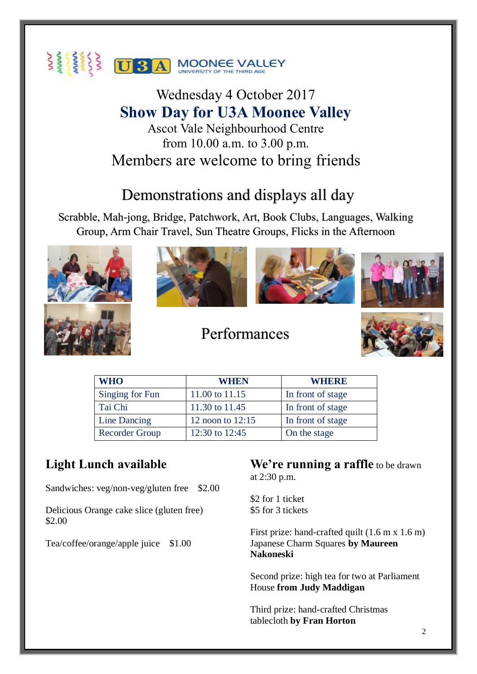

Wednesday 4 October 2017 **Show Day for U3A Moonee Valley** Ascot Vale Neighbourhood Centre from 10.00 a.m. to 3.00 p.m. Members are welcome to bring friends

# Demonstrations and displays all day

Scrabble, Mah-jong, Bridge, Patchwork, Art, Book Clubs, Languages, Walking Group, Arm Chair Travel, Sun Theatre Groups, Flicks in the Afternoon









# Performances



| <b>WHO</b>            | <b>WHEN</b>        | <b>WHERE</b>      |
|-----------------------|--------------------|-------------------|
| Singing for Fun       | 11.00 to 11.15     | In front of stage |
| Tai Chi               | 11.30 to 11.45     | In front of stage |
| Line Dancing          | 12 noon to $12:15$ | In front of stage |
| <b>Recorder Group</b> | 12:30 to 12:45     | On the stage      |

## **Light Lunch available**

Sandwiches: veg/non-veg/gluten free \$2.00

Delicious Orange cake slice (gluten free) \$2.00

Tea/coffee/orange/apple juice \$1.00

### **We're running a raffle** to be drawn at 2:30 p.m.

\$2 for 1 ticket \$5 for 3 tickets

First prize: hand-crafted quilt (1.6 m x 1.6 m) Japanese Charm Squares **by Maureen Nakoneski**

Second prize: high tea for two at Parliament House **from Judy Maddigan**

Third prize: hand-crafted Christmas tablecloth **by Fran Horton**